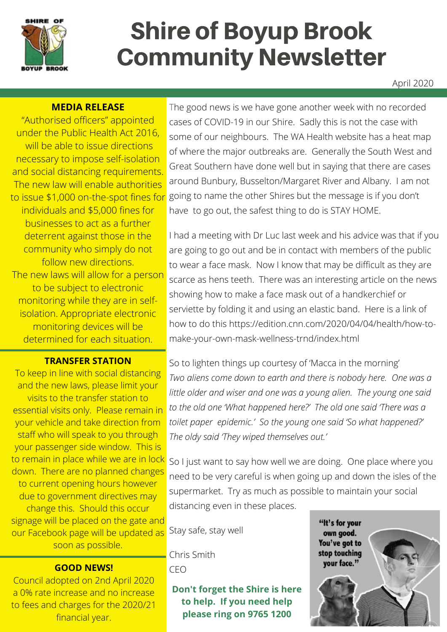

# Shire of Boyup Brook Community Newsletter

#### April 2020

#### **MEDIA RELEASE**

"Authorised officers" appointed under the Public Health Act 2016, will be able to issue directions necessary to impose self-isolation and social distancing requirements. The new law will enable authorities to issue \$1,000 on-the-spot fines for individuals and \$5,000 fines for businesses to act as a further deterrent against those in the community who simply do not follow new directions. The new laws will allow for a person to be subject to electronic monitoring while they are in selfisolation. Appropriate electronic monitoring devices will be determined for each situation.

#### **TRANSFER STATION**

To keep in line with social distancing and the new laws, please limit your visits to the transfer station to essential visits only. Please remain in your vehicle and take direction from staff who will speak to you through your passenger side window. This is to remain in place while we are in lock down. There are no planned changes to current opening hours however due to government directives may change this. Should this occur signage will be placed on the gate and our Facebook page will be updated as soon as possible.

#### **GOOD NEWS!**

Council adopted on 2nd April 2020 a 0% rate increase and no increase to fees and charges for the 2020/21 financial year.

The good news is we have gone another week with no recorded cases of COVID-19 in our Shire. Sadly this is not the case with some of our neighbours. The WA Health website has a heat map of where the major outbreaks are. Generally the South West and Great Southern have done well but in saying that there are cases around Bunbury, Busselton/Margaret River and Albany. I am not going to name the other Shires but the message is if you don't have to go out, the safest thing to do is STAY HOME.

I had a meeting with Dr Luc last week and his advice was that if you are going to go out and be in contact with members of the public to wear a face mask. Now I know that may be difficult as they are scarce as hens teeth. There was an interesting article on the news showing how to make a face mask out of a handkerchief or serviette by folding it and using an elastic band. Here is a link of how to do this https://edition.cnn.com/2020/04/04/health/how-tomake-your-own-mask-wellness-trnd/index.html

So to lighten things up courtesy of 'Macca in the morning' *Two aliens come down to earth and there is nobody here. One was a little older and wiser and one was a young alien. The young one said to the old one 'What happened here?' The old one said 'There was a toilet paper epidemic.' So the young one said 'So what happened?' The oldy said 'They wiped themselves out.'*

So I just want to say how well we are doing. One place where you need to be very careful is when going up and down the isles of the supermarket. Try as much as possible to maintain your social distancing even in these places.

Stay safe, stay well

Chris Smith CEO

**Don't forget the Shire is here to help. If you need help please ring on 9765 1200**